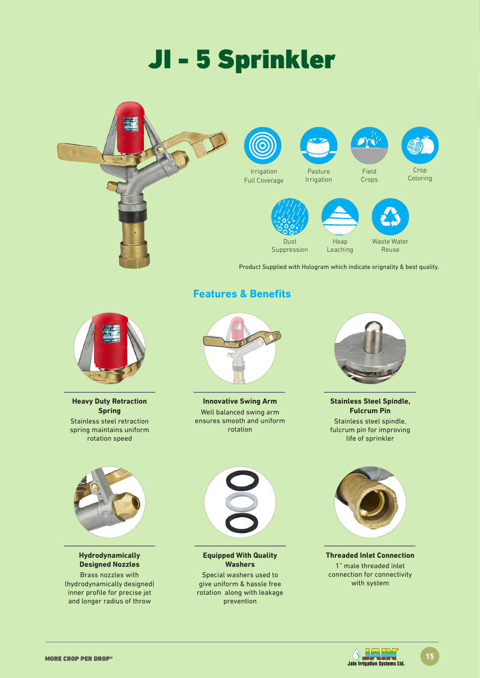# JI - 5 Sprinkler





**Heavy Duty Retraction Spring** Stainless steel retraction spring maintains uniform rotation speed



**Hydrodynamically Designed Nozzles**

Brass nozzles with (hydrodynamically designed) inner profile for precise jet and longer radius of throw

**Features & Benefits**

**Innovative Swing Arm** Well balanced swing arm ensures smooth and uniform rotation



**Stainless Steel Spindle, Fulcrum Pin** Stainless steel spindle, fulcrum pin for improving life of sprinkler



**Equipped With Quality Washers**

Special washers used to give uniform & hassle free rotation along with leakage prevention



**Threaded Inlet Connection** 1" male threaded inlet connection for connectivity with system